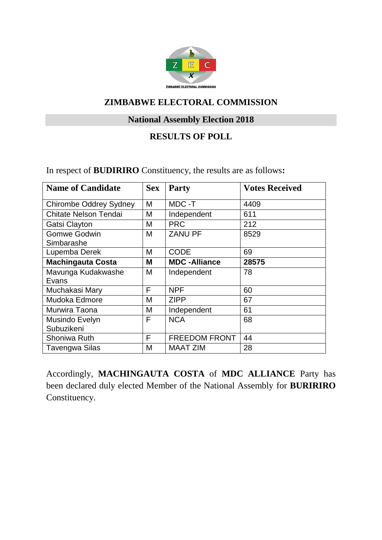

# **National Assembly Election 2018**

### **RESULTS OF POLL**

In respect of **BUDIRIRO** Constituency, the results are as follows**:**

| <b>Name of Candidate</b>      | <b>Sex</b> | Party                | <b>Votes Received</b> |
|-------------------------------|------------|----------------------|-----------------------|
| <b>Chirombe Oddrey Sydney</b> | M          | MDC -T               | 4409                  |
| <b>Chitate Nelson Tendai</b>  | M          | Independent          | 611                   |
| Gatsi Clayton                 | М          | <b>PRC</b>           | 212                   |
| <b>Gomwe Godwin</b>           | М          | <b>ZANU PF</b>       | 8529                  |
| Simbarashe                    |            |                      |                       |
| Lupemba Derek                 | М          | <b>CODE</b>          | 69                    |
| <b>Machingauta Costa</b>      | Μ          | <b>MDC-Alliance</b>  | 28575                 |
| Mavunga Kudakwashe            | M          | Independent          | 78                    |
| Evans                         |            |                      |                       |
| Muchakasi Mary                | F          | <b>NPF</b>           | 60                    |
| Mudoka Edmore                 | M          | <b>ZIPP</b>          | 67                    |
| Murwira Taona                 | M          | Independent          | 61                    |
| Musindo Evelyn                | F          | <b>NCA</b>           | 68                    |
| Subuzikeni                    |            |                      |                       |
| Shoniwa Ruth                  | F          | <b>FREEDOM FRONT</b> | 44                    |
| Tavengwa Silas                | M          | <b>MAAT ZIM</b>      | 28                    |

Accordingly, **MACHINGAUTA COSTA** of **MDC ALLIANCE** Party has been declared duly elected Member of the National Assembly for **BURIRIRO** Constituency.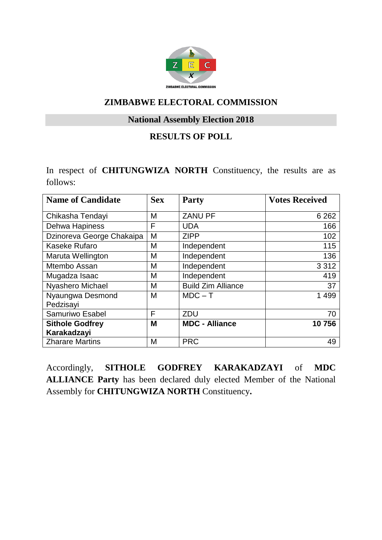

#### **National Assembly Election 2018**

# **RESULTS OF POLL**

In respect of **CHITUNGWIZA NORTH** Constituency, the results are as follows:

| <b>Name of Candidate</b>              | <b>Sex</b> | <b>Party</b>              | <b>Votes Received</b> |
|---------------------------------------|------------|---------------------------|-----------------------|
| Chikasha Tendayi                      | M          | <b>ZANU PF</b>            | 6 2 6 2               |
| Dehwa Hapiness                        | F          | <b>UDA</b>                | 166                   |
| Dzinoreva George Chakaipa             | M          | <b>ZIPP</b>               | 102                   |
| Kaseke Rufaro                         | M          | Independent               | 115                   |
| Maruta Wellington                     | M          | Independent               | 136                   |
| Mtembo Assan                          | M          | Independent               | 3 3 1 2               |
| Mugadza Isaac                         | M          | Independent               | 419                   |
| Nyashero Michael                      | M          | <b>Build Zim Alliance</b> | 37                    |
| Nyaungwa Desmond<br>Pedzisayi         | M          | $MDC - T$                 | 1 4 9 9               |
| Samuriwo Esabel                       | F          | ZDU                       | 70                    |
| <b>Sithole Godfrey</b><br>Karakadzayi | M          | <b>MDC - Alliance</b>     | 10756                 |
| <b>Zharare Martins</b>                | М          | <b>PRC</b>                | 49                    |

Accordingly, **SITHOLE GODFREY KARAKADZAYI** of **MDC ALLIANCE Party** has been declared duly elected Member of the National Assembly for **CHITUNGWIZA NORTH** Constituency**.**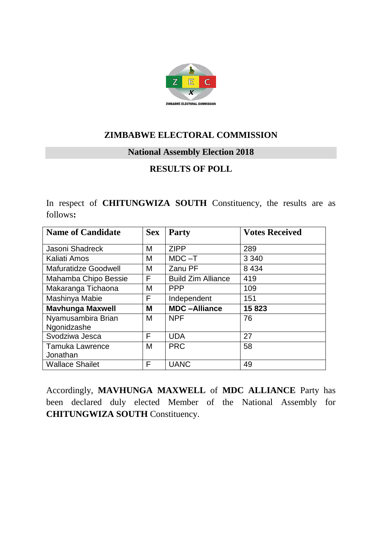

#### **National Assembly Election 2018**

# **RESULTS OF POLL**

In respect of **CHITUNGWIZA SOUTH** Constituency, the results are as follows**:**

| <b>Name of Candidate</b>    | <b>Sex</b> | <b>Party</b>              | <b>Votes Received</b> |
|-----------------------------|------------|---------------------------|-----------------------|
| Jasoni Shadreck             | M          | <b>ZIPP</b>               | 289                   |
| Kaliati Amos                | M          | $MDC - T$                 | 3 3 4 0               |
| <b>Mafuratidze Goodwell</b> | M          | Zanu PF                   | 8 4 3 4               |
| Mahamba Chipo Bessie        | F          | <b>Build Zim Alliance</b> | 419                   |
| Makaranga Tichaona          | M          | <b>PPP</b>                | 109                   |
| Mashinya Mabie              | F          | Independent               | 151                   |
| <b>Mavhunga Maxwell</b>     | M          | <b>MDC-Alliance</b>       | 15823                 |
| Nyamusambira Brian          | M          | <b>NPF</b>                | 76                    |
| Ngonidzashe                 |            |                           |                       |
| Svodziwa Jesca              | F          | <b>UDA</b>                | 27                    |
| <b>Tamuka Lawrence</b>      | M          | <b>PRC</b>                | 58                    |
| Jonathan                    |            |                           |                       |
| <b>Wallace Shailet</b>      | F          | <b>UANC</b>               | 49                    |

Accordingly, **MAVHUNGA MAXWELL** of **MDC ALLIANCE** Party has been declared duly elected Member of the National Assembly for **CHITUNGWIZA SOUTH** Constituency.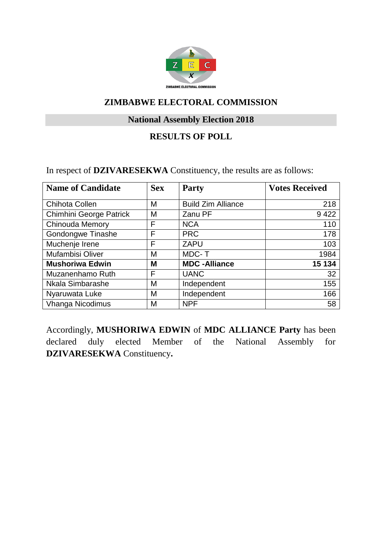

# **National Assembly Election 2018**

# **RESULTS OF POLL**

In respect of **DZIVARESEKWA** Constituency, the results are as follows:

| <b>Name of Candidate</b> | <b>Sex</b> | <b>Party</b>              | <b>Votes Received</b> |
|--------------------------|------------|---------------------------|-----------------------|
|                          |            |                           |                       |
| <b>Chihota Collen</b>    | M          | <b>Build Zim Alliance</b> | 218                   |
| Chimhini George Patrick  | M          | Zanu PF                   | 9422                  |
| <b>Chinouda Memory</b>   | F          | <b>NCA</b>                | 110                   |
| Gondongwe Tinashe        | F          | <b>PRC</b>                | 178                   |
| Muchenje Irene           | F          | <b>ZAPU</b>               | 103                   |
| Mufambisi Oliver         | M          | MDC-T                     | 1984                  |
| <b>Mushoriwa Edwin</b>   | M          | <b>MDC-Alliance</b>       | 15 134                |
| Muzanenhamo Ruth         | F          | <b>UANC</b>               | 32                    |
| Nkala Simbarashe         | M          | Independent               | 155                   |
| Nyaruwata Luke           | M          | Independent               | 166                   |
| <b>Vhanga Nicodimus</b>  | M          | <b>NPF</b>                | 58                    |

Accordingly, **MUSHORIWA EDWIN** of **MDC ALLIANCE Party** has been declared duly elected Member of the National Assembly for **DZIVARESEKWA** Constituency**.**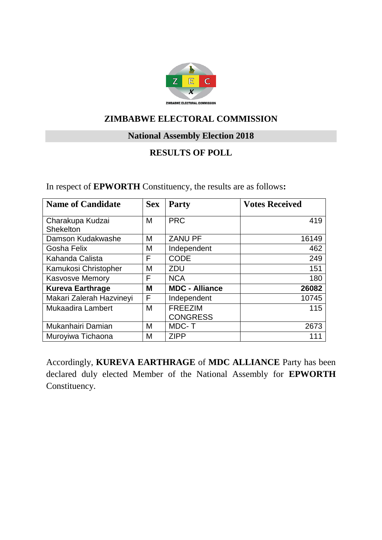

#### **National Assembly Election 2018**

# **RESULTS OF POLL**

In respect of **EPWORTH** Constituency, the results are as follows**:**

| <b>Name of Candidate</b>             | <b>Sex</b> | <b>Party</b>                      | <b>Votes Received</b> |
|--------------------------------------|------------|-----------------------------------|-----------------------|
| Charakupa Kudzai<br><b>Shekelton</b> | M          | <b>PRC</b>                        | 419                   |
| Damson Kudakwashe                    | M          | <b>ZANU PF</b>                    | 16149                 |
| Gosha Felix                          | M          | Independent                       | 462                   |
| Kahanda Calista                      | F          | <b>CODE</b>                       | 249                   |
| Kamukosi Christopher                 | M          | <b>ZDU</b>                        | 151                   |
| <b>Kasvosve Memory</b>               | F          | <b>NCA</b>                        | 180                   |
| <b>Kureva Earthrage</b>              | M          | <b>MDC - Alliance</b>             | 26082                 |
| Makari Zalerah Hazvineyi             | F          | Independent                       | 10745                 |
| <b>Mukaadira Lambert</b>             | M          | <b>FREEZIM</b><br><b>CONGRESS</b> | 115                   |
| Mukanhairi Damian                    | M          | MDC-T                             | 2673                  |
| Muroyiwa Tichaona                    | M          | <b>ZIPP</b>                       | 111                   |

Accordingly, **KUREVA EARTHRAGE** of **MDC ALLIANCE** Party has been declared duly elected Member of the National Assembly for **EPWORTH** Constituency.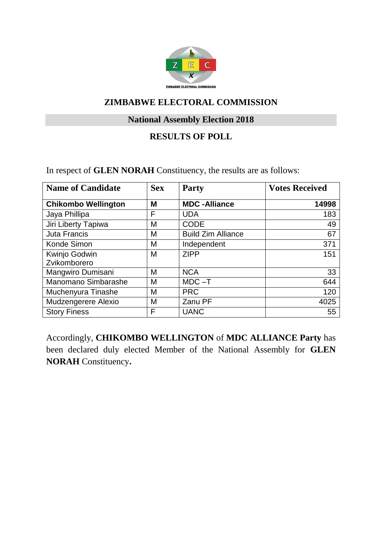

# **National Assembly Election 2018**

### **RESULTS OF POLL**

In respect of **GLEN NORAH** Constituency, the results are as follows:

| <b>Name of Candidate</b>   | <b>Sex</b> | <b>Party</b>              | <b>Votes Received</b> |
|----------------------------|------------|---------------------------|-----------------------|
| <b>Chikombo Wellington</b> | M          | <b>MDC-Alliance</b>       | 14998                 |
| Jaya Phillipa              | F          | <b>UDA</b>                | 183                   |
| Jiri Liberty Tapiwa        | M          | <b>CODE</b>               | 49                    |
| <b>Juta Francis</b>        | M          | <b>Build Zim Alliance</b> | 67                    |
| Konde Simon                | M          | Independent               | 371                   |
| Kwinjo Godwin              | M          | <b>ZIPP</b>               | 151                   |
| Zvikomborero               |            |                           |                       |
| Mangwiro Dumisani          | M          | <b>NCA</b>                | 33                    |
| Manomano Simbarashe        | M          | $MDC - T$                 | 644                   |
| Muchenyura Tinashe         | M          | <b>PRC</b>                | 120                   |
| Mudzengerere Alexio        | M          | Zanu PF                   | 4025                  |
| <b>Story Finess</b>        | F          | <b>UANC</b>               | 55                    |

Accordingly, **CHIKOMBO WELLINGTON** of **MDC ALLIANCE Party** has been declared duly elected Member of the National Assembly for **GLEN NORAH** Constituency**.**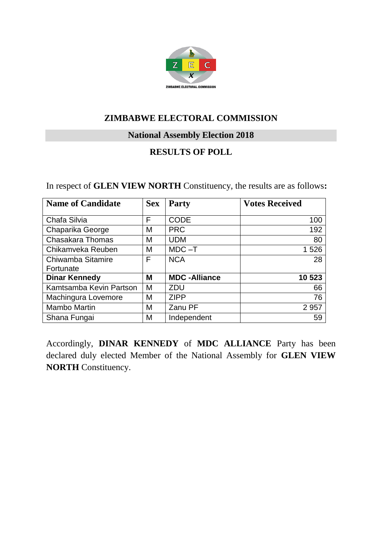

**National Assembly Election 2018**

# **RESULTS OF POLL**

|  | In respect of GLEN VIEW NORTH Constituency, the results are as follows: |  |  |
|--|-------------------------------------------------------------------------|--|--|
|--|-------------------------------------------------------------------------|--|--|

| <b>Name of Candidate</b> | <b>Sex</b> | <b>Party</b>        | <b>Votes Received</b> |
|--------------------------|------------|---------------------|-----------------------|
| Chafa Silvia             | F          | <b>CODE</b>         | 100                   |
| Chaparika George         | Μ          | <b>PRC</b>          | 192                   |
| <b>Chasakara Thomas</b>  | M          | <b>UDM</b>          | 80                    |
| Chikamveka Reuben        | M          | $MDC - T$           | 1 5 2 6               |
| Chiwamba Sitamire        | F          | <b>NCA</b>          | 28                    |
| Fortunate                |            |                     |                       |
| <b>Dinar Kennedy</b>     | М          | <b>MDC-Alliance</b> | 10 523                |
| Kamtsamba Kevin Partson  | M          | ZDU                 | 66                    |
| Machingura Lovemore      | M          | <b>ZIPP</b>         | 76                    |
| Mambo Martin             | M          | Zanu PF             | 2 9 5 7               |
| Shana Fungai             | Μ          | Independent         | 59                    |

Accordingly, **DINAR KENNEDY** of **MDC ALLIANCE** Party has been declared duly elected Member of the National Assembly for **GLEN VIEW NORTH** Constituency.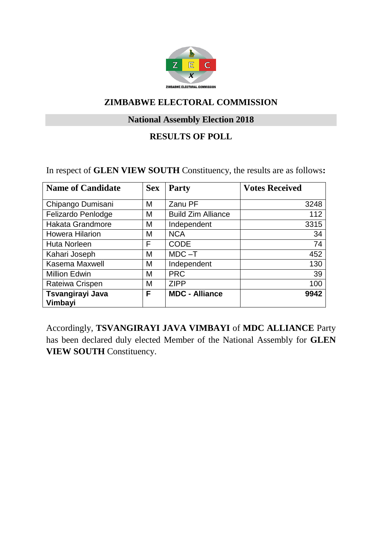

# **National Assembly Election 2018**

# **RESULTS OF POLL**

In respect of **GLEN VIEW SOUTH** Constituency, the results are as follows**:**

| <b>Name of Candidate</b>    | <b>Sex</b> | <b>Party</b>              | <b>Votes Received</b> |
|-----------------------------|------------|---------------------------|-----------------------|
| Chipango Dumisani           | M          | Zanu PF                   | 3248                  |
| Felizardo Penlodge          | M          | <b>Build Zim Alliance</b> | 112                   |
| Hakata Grandmore            | M          | Independent               | 3315                  |
| <b>Howera Hilarion</b>      | M          | <b>NCA</b>                | 34                    |
| <b>Huta Norleen</b>         | F          | <b>CODE</b>               | 74                    |
| Kahari Joseph               | M          | $MDC - T$                 | 452                   |
| Kasema Maxwell              | M          | Independent               | 130                   |
| <b>Million Edwin</b>        | M          | <b>PRC</b>                | 39                    |
| Rateiwa Crispen             | M          | <b>ZIPP</b>               | 100                   |
| Tsvangirayi Java<br>Vimbayi | F          | <b>MDC - Alliance</b>     | 9942                  |

Accordingly, **TSVANGIRAYI JAVA VIMBAYI** of **MDC ALLIANCE** Party has been declared duly elected Member of the National Assembly for **GLEN VIEW SOUTH** Constituency.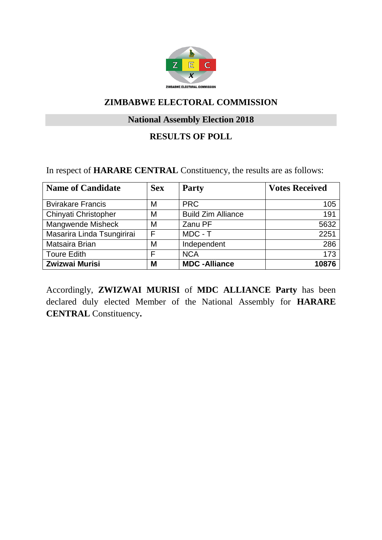

# **National Assembly Election 2018**

# **RESULTS OF POLL**

In respect of **HARARE CENTRAL** Constituency, the results are as follows:

| <b>Name of Candidate</b>   | <b>Sex</b> | <b>Party</b>              | <b>Votes Received</b> |
|----------------------------|------------|---------------------------|-----------------------|
| <b>Bvirakare Francis</b>   | M          | <b>PRC</b>                | 105                   |
| Chinyati Christopher       | M          | <b>Build Zim Alliance</b> | 191                   |
| Mangwende Misheck          | M          | Zanu PF                   | 5632                  |
| Masarira Linda Tsungirirai | F          | MDC - T                   | 2251                  |
| Matsaira Brian             | M          | Independent               | 286                   |
| <b>Toure Edith</b>         | F          | <b>NCA</b>                | 173                   |
| Zwizwai Murisi             | M          | <b>MDC-Alliance</b>       | 10876                 |

Accordingly, **ZWIZWAI MURISI** of **MDC ALLIANCE Party** has been declared duly elected Member of the National Assembly for **HARARE CENTRAL** Constituency**.**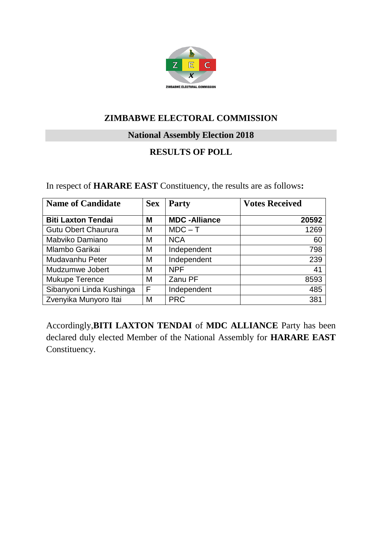

**National Assembly Election 2018**

# **RESULTS OF POLL**

| <b>Name of Candidate</b>   | <b>Sex</b> | Party               | <b>Votes Received</b> |
|----------------------------|------------|---------------------|-----------------------|
| <b>Biti Laxton Tendai</b>  | M          | <b>MDC-Alliance</b> | 20592                 |
| <b>Gutu Obert Chaurura</b> | M          | $MDC - T$           | 1269                  |
| Mabviko Damiano            | M          | <b>NCA</b>          | 60                    |
| Mlambo Garikai             | M          | Independent         | 798                   |
| Mudavanhu Peter            | M          | Independent         | 239                   |
| Mudzumwe Jobert            | M          | <b>NPF</b>          | 41                    |
| Mukupe Terence             | M          | Zanu PF             | 8593                  |
| Sibanyoni Linda Kushinga   | F          | Independent         | 485                   |
| Zvenyika Munyoro Itai      | M          | <b>PRC</b>          | 381                   |

Accordingly,**BITI LAXTON TENDAI** of **MDC ALLIANCE** Party has been declared duly elected Member of the National Assembly for **HARARE EAST** Constituency.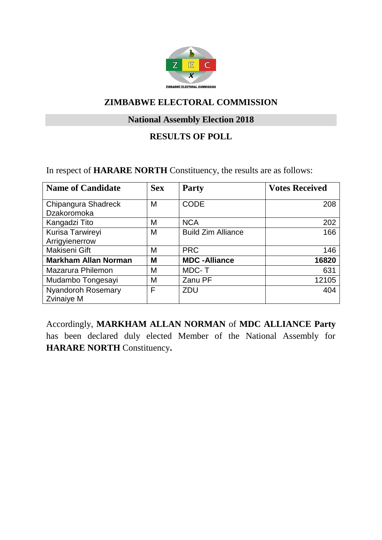

# **National Assembly Election 2018**

# **RESULTS OF POLL**

In respect of **HARARE NORTH** Constituency, the results are as follows:

| <b>Name of Candidate</b>                | <b>Sex</b> | <b>Party</b>              | <b>Votes Received</b> |
|-----------------------------------------|------------|---------------------------|-----------------------|
| Chipangura Shadreck<br>Dzakoromoka      | M          | <b>CODE</b>               | 208                   |
| Kangadzi Tito                           | M          | <b>NCA</b>                | 202                   |
| Kurisa Tarwireyi<br>Arrigyienerrow      | M          | <b>Build Zim Alliance</b> | 166                   |
| Makiseni Gift                           | M          | <b>PRC</b>                | 146                   |
| <b>Markham Allan Norman</b>             | M          | <b>MDC-Alliance</b>       | 16820                 |
| Mazarura Philemon                       | M          | MDC-T                     | 631                   |
| Mudambo Tongesayi                       | M          | Zanu PF                   | 12105                 |
| <b>Nyandoroh Rosemary</b><br>Zvinaiye M | F          | ZDU                       | 404                   |

Accordingly, **MARKHAM ALLAN NORMAN** of **MDC ALLIANCE Party**  has been declared duly elected Member of the National Assembly for **HARARE NORTH** Constituency**.**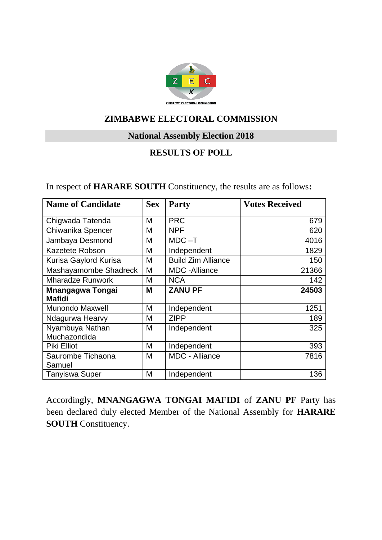

# **National Assembly Election 2018**

# **RESULTS OF POLL**

| In respect of <b>HARARE SOUTH</b> Constituency, the results are as follows: |  |  |  |
|-----------------------------------------------------------------------------|--|--|--|
|-----------------------------------------------------------------------------|--|--|--|

| <b>Name of Candidate</b>                 | <b>Sex</b> | <b>Party</b>              | <b>Votes Received</b> |
|------------------------------------------|------------|---------------------------|-----------------------|
| Chigwada Tatenda                         | M          | <b>PRC</b>                | 679                   |
| Chiwanika Spencer                        | M          | <b>NPF</b>                | 620                   |
| Jambaya Desmond                          | M          | $MDC - T$                 | 4016                  |
| Kazetete Robson                          | M          | Independent               | 1829                  |
| Kurisa Gaylord Kurisa                    | M          | <b>Build Zim Alliance</b> | 150                   |
| Mashayamombe Shadreck                    | M          | <b>MDC</b> - Alliance     | 21366                 |
| <b>Mharadze Runwork</b>                  | M          | <b>NCA</b>                | 142                   |
| <b>Mnangagwa Tongai</b><br><b>Mafidi</b> | M          | <b>ZANU PF</b>            | 24503                 |
| <b>Munondo Maxwell</b>                   | M          | Independent               | 1251                  |
| Ndagurwa Hearvy                          | M          | <b>ZIPP</b>               | 189                   |
| Nyambuya Nathan<br>Muchazondida          | M          | Independent               | 325                   |
| Piki Elliot                              | M          | Independent               | 393                   |
| Saurombe Tichaona<br>Samuel              | M          | <b>MDC - Alliance</b>     | 7816                  |
| <b>Tanyiswa Super</b>                    | M          | Independent               | 136                   |

Accordingly, **MNANGAGWA TONGAI MAFIDI** of **ZANU PF** Party has been declared duly elected Member of the National Assembly for **HARARE SOUTH** Constituency.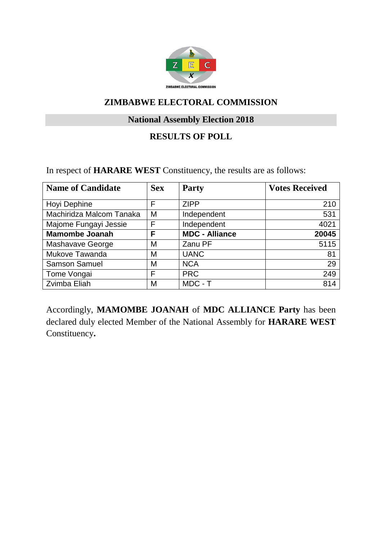

# **National Assembly Election 2018**

# **RESULTS OF POLL**

In respect of **HARARE WEST** Constituency, the results are as follows:

| <b>Name of Candidate</b> | <b>Sex</b> | <b>Party</b>          | <b>Votes Received</b> |
|--------------------------|------------|-----------------------|-----------------------|
|                          |            |                       |                       |
| Hoyi Dephine             | F          | <b>ZIPP</b>           | 210                   |
| Machiridza Malcom Tanaka | M          | Independent           | 531                   |
| Majome Fungayi Jessie    | F          | Independent           | 4021                  |
| <b>Mamombe Joanah</b>    | F          | <b>MDC - Alliance</b> | 20045                 |
| Mashavave George         | M          | Zanu PF               | 5115                  |
| Mukove Tawanda           | M          | <b>UANC</b>           | 81                    |
| <b>Samson Samuel</b>     | M          | <b>NCA</b>            | 29                    |
| Tome Vongai              | F          | <b>PRC</b>            | 249                   |
| Zvimba Eliah             | M          | MDC - T               | 814                   |

Accordingly, **MAMOMBE JOANAH** of **MDC ALLIANCE Party** has been declared duly elected Member of the National Assembly for **HARARE WEST** Constituency**.**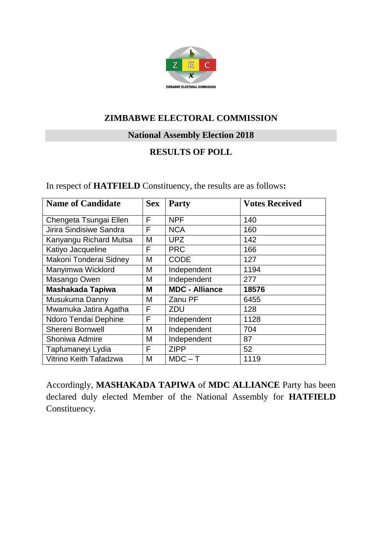

# **National Assembly Election 2018**

#### **RESULTS OF POLL**

In respect of **HATFIELD** Constituency, the results are as follows**:**

| <b>Name of Candidate</b> | <b>Sex</b> | <b>Party</b>          | <b>Votes Received</b> |
|--------------------------|------------|-----------------------|-----------------------|
| Chengeta Tsungai Ellen   | F          | <b>NPF</b>            | 140                   |
| Jirira Sindisiwe Sandra  | F          | <b>NCA</b>            | 160                   |
| Kanyangu Richard Mutsa   | M          | <b>UPZ</b>            | 142                   |
| Katiyo Jacqueline        | F          | <b>PRC</b>            | 166                   |
| Makoni Tonderai Sidney   | M          | <b>CODE</b>           | 127                   |
| Manyimwa Wicklord        | M          | Independent           | 1194                  |
| Masango Owen             | Μ          | Independent           | 277                   |
| <b>Mashakada Tapiwa</b>  | M          | <b>MDC - Alliance</b> | 18576                 |
| Musukuma Danny           | M          | Zanu PF               | 6455                  |
| Mwamuka Jatira Agatha    | F          | ZDU                   | 128                   |
| Ndoro Tendai Dephine     | F          | Independent           | 1128                  |
| <b>Shereni Bornwell</b>  | M          | Independent           | 704                   |
| Shoniwa Admire           | M          | Independent           | 87                    |
| Tapfumaneyi Lydia        | F          | <b>ZIPP</b>           | 52                    |
| Vitrino Keith Tafadzwa   | M          | $MDC - T$             | 1119                  |

Accordingly, **MASHAKADA TAPIWA** of **MDC ALLIANCE** Party has been declared duly elected Member of the National Assembly for **HATFIELD** Constituency.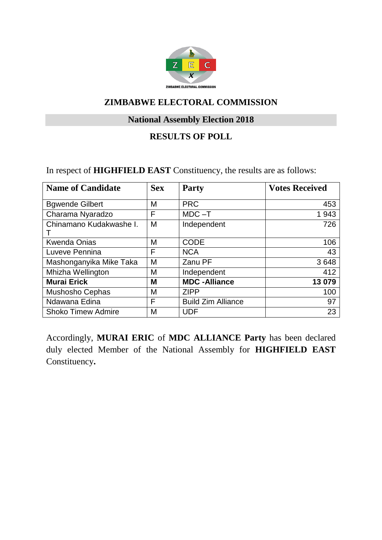

# **National Assembly Election 2018**

### **RESULTS OF POLL**

In respect of **HIGHFIELD EAST** Constituency, the results are as follows:

| <b>Name of Candidate</b>  | <b>Sex</b> | <b>Party</b>              | <b>Votes Received</b> |
|---------------------------|------------|---------------------------|-----------------------|
| <b>Bgwende Gilbert</b>    | M          | <b>PRC</b>                | 453                   |
| Charama Nyaradzo          | F          | $MDC - T$                 | 1943                  |
| Chinamano Kudakwashe I.   | M          | Independent               | 726                   |
| <b>Kwenda Onias</b>       | M          | <b>CODE</b>               | 106                   |
| Luveve Pennina            | F          | <b>NCA</b>                | 43                    |
| Mashonganyika Mike Taka   | M          | Zanu PF                   | 3648                  |
| Mhizha Wellington         | M          | Independent               | 412                   |
| <b>Murai Erick</b>        | M          | <b>MDC-Alliance</b>       | 13 079                |
| Mushosho Cephas           | M          | <b>ZIPP</b>               | 100                   |
| Ndawana Edina             | F          | <b>Build Zim Alliance</b> | 97                    |
| <b>Shoko Timew Admire</b> | M          | <b>UDF</b>                | 23                    |

Accordingly, **MURAI ERIC** of **MDC ALLIANCE Party** has been declared duly elected Member of the National Assembly for **HIGHFIELD EAST** Constituency**.**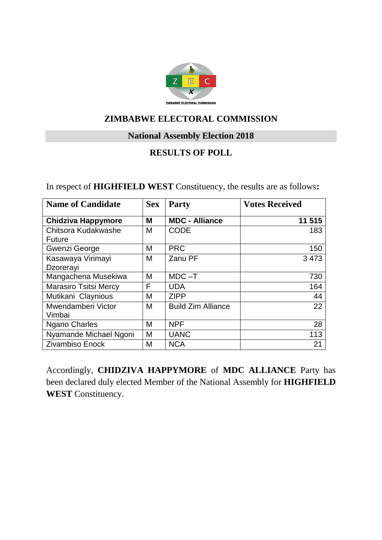

#### **National Assembly Election 2018**

# **RESULTS OF POLL**

| <b>Name of Candidate</b>       | <b>Sex</b> | <b>Party</b>              | <b>Votes Received</b> |
|--------------------------------|------------|---------------------------|-----------------------|
| <b>Chidziva Happymore</b>      | M          | <b>MDC - Alliance</b>     | 11 515                |
| Chitsora Kudakwashe<br>Future  | M          | <b>CODE</b>               | 183                   |
| Gwenzi George                  | М          | <b>PRC</b>                | 150                   |
| Kasawaya Virimayi<br>Dzorerayi | M          | Zanu PF                   | 3473                  |
| Mangachena Musekiwa            | M          | $MDC - T$                 | 730                   |
| <b>Marasiro Tsitsi Mercy</b>   | F          | <b>UDA</b>                | 164                   |
| Mutikani Claynious             | М          | <b>ZIPP</b>               | 44                    |
| Mwendamberi Victor<br>Vimbai   | M          | <b>Build Zim Alliance</b> | 22                    |
| <b>Ngano Charles</b>           | M          | <b>NPF</b>                | 28                    |
| Nyamande Michael Ngoni         | M          | <b>UANC</b>               | 113                   |
| <b>Zivambiso Enock</b>         | M          | <b>NCA</b>                | 21                    |

In respect of **HIGHFIELD WEST** Constituency, the results are as follows**:**

Accordingly, **CHIDZIVA HAPPYMORE** of **MDC ALLIANCE** Party has been declared duly elected Member of the National Assembly for **HIGHFIELD WEST** Constituency.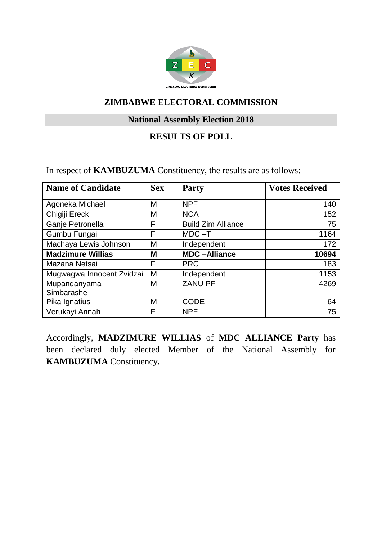

# **National Assembly Election 2018**

# **RESULTS OF POLL**

In respect of **KAMBUZUMA** Constituency, the results are as follows:

| <b>Name of Candidate</b>  | <b>Sex</b> | <b>Party</b>              | <b>Votes Received</b> |
|---------------------------|------------|---------------------------|-----------------------|
| Agoneka Michael           | M          | <b>NPF</b>                | 140                   |
| Chigiji Ereck             | M          | <b>NCA</b>                | 152                   |
| Ganje Petronella          | F          | <b>Build Zim Alliance</b> | 75                    |
| Gumbu Fungai              | F          | $MDC - T$                 | 1164                  |
| Machaya Lewis Johnson     | M          | Independent               | 172                   |
| <b>Madzimure Willias</b>  | M          | <b>MDC-Alliance</b>       | 10694                 |
| Mazana Netsai             | F          | <b>PRC</b>                | 183                   |
| Mugwagwa Innocent Zvidzai | M          | Independent               | 1153                  |
| Mupandanyama              | M          | <b>ZANU PF</b>            | 4269                  |
| Simbarashe                |            |                           |                       |
| Pika Ignatius             | M          | <b>CODE</b>               | 64                    |
| Verukayi Annah            | F          | <b>NPF</b>                | 75                    |

Accordingly, **MADZIMURE WILLIAS** of **MDC ALLIANCE Party** has been declared duly elected Member of the National Assembly for **KAMBUZUMA** Constituency**.**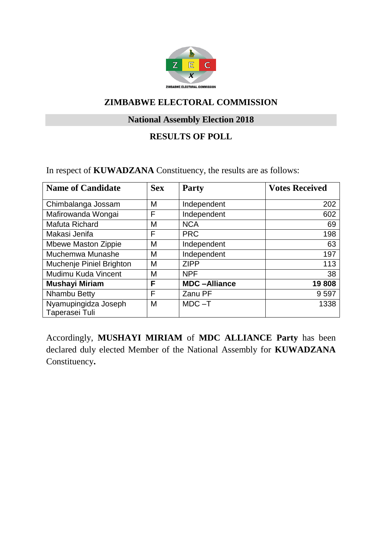

# **National Assembly Election 2018**

### **RESULTS OF POLL**

In respect of **KUWADZANA** Constituency, the results are as follows:

| <b>Name of Candidate</b>               | <b>Sex</b> | <b>Party</b>        | <b>Votes Received</b> |
|----------------------------------------|------------|---------------------|-----------------------|
| Chimbalanga Jossam                     | M          | Independent         | 202                   |
| Mafirowanda Wongai                     | F          | Independent         | 602                   |
| Mafuta Richard                         | M          | <b>NCA</b>          | 69                    |
| Makasi Jenifa                          | F          | <b>PRC</b>          | 198                   |
| <b>Mbewe Maston Zippie</b>             | M          | Independent         | 63                    |
| Muchemwa Munashe                       | M          | Independent         | 197                   |
| Muchenje Piniel Brighton               | M          | <b>ZIPP</b>         | 113                   |
| Mudimu Kuda Vincent                    | M          | <b>NPF</b>          | 38                    |
| <b>Mushayi Miriam</b>                  | F          | <b>MDC-Alliance</b> | 19808                 |
| Nhambu Betty                           | F          | Zanu PF             | 9597                  |
| Nyamupingidza Joseph<br>Taperasei Tuli | M          | $MDC - T$           | 1338                  |

Accordingly, **MUSHAYI MIRIAM** of **MDC ALLIANCE Party** has been declared duly elected Member of the National Assembly for **KUWADZANA**  Constituency**.**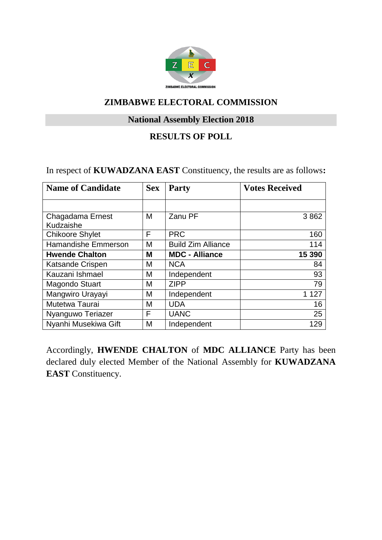

# **National Assembly Election 2018**

#### **RESULTS OF POLL**

In respect of **KUWADZANA EAST** Constituency, the results are as follows**:**

| <b>Name of Candidate</b>      | <b>Sex</b> | <b>Party</b>              | <b>Votes Received</b> |
|-------------------------------|------------|---------------------------|-----------------------|
|                               |            |                           |                       |
| Chagadama Ernest<br>Kudzaishe | м          | Zanu PF                   | 3862                  |
| <b>Chikoore Shylet</b>        | F          | <b>PRC</b>                | 160                   |
| Hamandishe Emmerson           | М          | <b>Build Zim Alliance</b> | 114                   |
| <b>Hwende Chalton</b>         | М          | <b>MDC - Alliance</b>     | 15 390                |
| Katsande Crispen              | M          | <b>NCA</b>                | 84                    |
| Kauzani Ishmael               | M          | Independent               | 93                    |
| <b>Magondo Stuart</b>         | Μ          | <b>ZIPP</b>               | 79                    |
| Mangwiro Urayayi              | M          | Independent               | 1 1 2 7               |
| Mutetwa Taurai                | M          | <b>UDA</b>                | 16                    |
| Nyanguwo Teriazer             | F          | <b>UANC</b>               | 25                    |
| Nyanhi Musekiwa Gift          | M          | Independent               | 129                   |

Accordingly, **HWENDE CHALTON** of **MDC ALLIANCE** Party has been declared duly elected Member of the National Assembly for **KUWADZANA EAST** Constituency.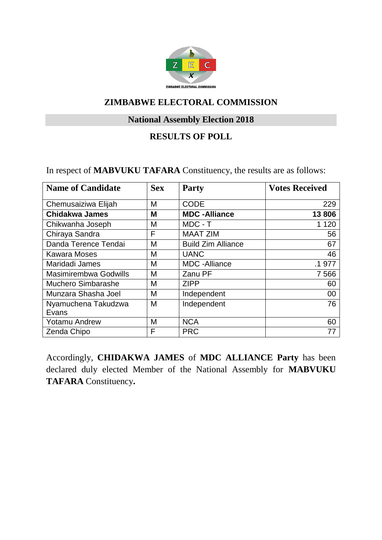

# **National Assembly Election 2018**

# **RESULTS OF POLL**

In respect of **MABVUKU TAFARA** Constituency, the results are as follows:

| <b>Name of Candidate</b>     | <b>Sex</b> | <b>Party</b>              | <b>Votes Received</b> |
|------------------------------|------------|---------------------------|-----------------------|
| Chemusaiziwa Elijah          | М          | <b>CODE</b>               | 229                   |
| <b>Chidakwa James</b>        | M          | <b>MDC-Alliance</b>       | 13806                 |
| Chikwanha Joseph             | M          | MDC - T                   | 1 1 2 0               |
| Chiraya Sandra               | F          | <b>MAAT ZIM</b>           | 56                    |
| Danda Terence Tendai         | M          | <b>Build Zim Alliance</b> | 67                    |
| <b>Kawara Moses</b>          | M          | <b>UANC</b>               | 46                    |
| Maridadi James               | M          | <b>MDC</b> - Alliance     | .1 977                |
| <b>Masimirembwa Godwills</b> | M          | Zanu PF                   | 7 5 6 6               |
| <b>Muchero Simbarashe</b>    | M          | <b>ZIPP</b>               | 60                    |
| Munzara Shasha Joel          | M          | Independent               | 00                    |
| Nyamuchena Takudzwa          | M          | Independent               | 76                    |
| Evans                        |            |                           |                       |
| Yotamu Andrew                | M          | <b>NCA</b>                | 60                    |
| Zenda Chipo                  | F          | <b>PRC</b>                | 77                    |

Accordingly, **CHIDAKWA JAMES** of **MDC ALLIANCE Party** has been declared duly elected Member of the National Assembly for **MABVUKU TAFARA** Constituency**.**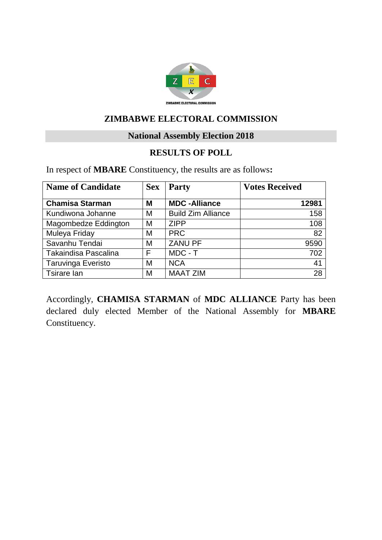

#### **National Assembly Election 2018**

#### **RESULTS OF POLL**

In respect of **MBARE** Constituency, the results are as follows**:**

| <b>Name of Candidate</b>  | <b>Sex</b> | <b>Party</b>              | <b>Votes Received</b> |
|---------------------------|------------|---------------------------|-----------------------|
| <b>Chamisa Starman</b>    | Μ          | <b>MDC-Alliance</b>       | 12981                 |
| Kundiwona Johanne         | M          | <b>Build Zim Alliance</b> | 158                   |
| Magombedze Eddington      | M          | <b>ZIPP</b>               | 108                   |
| Muleya Friday             | M          | <b>PRC</b>                | 82                    |
| Savanhu Tendai            | M          | <b>ZANU PF</b>            | 9590                  |
| Takaindisa Pascalina      | F          | MDC - T                   | 702                   |
| <b>Taruvinga Everisto</b> | M          | <b>NCA</b>                | 41                    |
| Tsirare lan               | М          | <b>MAAT ZIM</b>           | 28                    |

Accordingly, **CHAMISA STARMAN** of **MDC ALLIANCE** Party has been declared duly elected Member of the National Assembly for **MBARE** Constituency.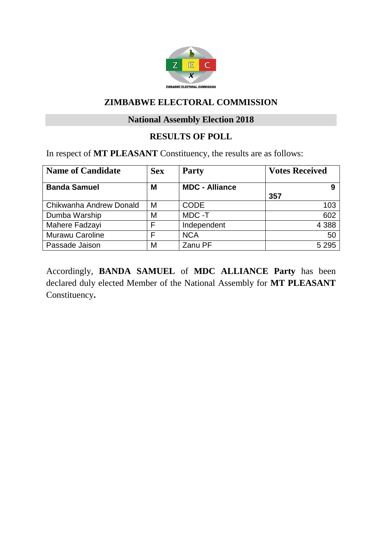

# **National Assembly Election 2018**

# **RESULTS OF POLL**

In respect of **MT PLEASANT** Constituency, the results are as follows:

| <b>Name of Candidate</b> | <b>Sex</b> | <b>Party</b>          | <b>Votes Received</b> |
|--------------------------|------------|-----------------------|-----------------------|
| <b>Banda Samuel</b>      | M          | <b>MDC - Alliance</b> | 9<br>357              |
| Chikwanha Andrew Donald  | M          | <b>CODE</b>           | 103                   |
| Dumba Warship            | M          | MDC-T                 | 602                   |
| Mahere Fadzayi           | F          | Independent           | 4 3 8 8               |
| <b>Murawu Caroline</b>   | F          | <b>NCA</b>            | 50                    |
| Passade Jaison           | M          | Zanu PF               | 5 2 9 5               |

Accordingly, **BANDA SAMUEL** of **MDC ALLIANCE Party** has been declared duly elected Member of the National Assembly for **MT PLEASANT** Constituency**.**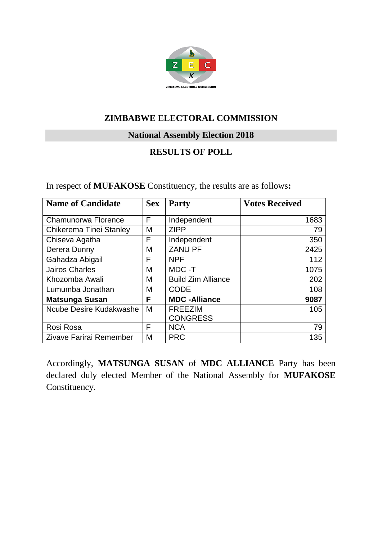

**National Assembly Election 2018**

# **RESULTS OF POLL**

In respect of **MUFAKOSE** Constituency, the results are as follows**:**

| <b>Name of Candidate</b> | <b>Sex</b> | <b>Party</b>              | <b>Votes Received</b> |
|--------------------------|------------|---------------------------|-----------------------|
| Chamunorwa Florence      | F          | Independent               | 1683                  |
| Chikerema Tinei Stanley  | M          | <b>ZIPP</b>               | 79                    |
| Chiseva Agatha           | F          | Independent               | 350                   |
| Derera Dunny             | M          | <b>ZANU PF</b>            | 2425                  |
| Gahadza Abigail          | F          | <b>NPF</b>                | 112                   |
| <b>Jairos Charles</b>    | M          | MDC -T                    | 1075                  |
| Khozomba Awali           | M          | <b>Build Zim Alliance</b> | 202                   |
| Lumumba Jonathan         | M          | <b>CODE</b>               | 108                   |
| <b>Matsunga Susan</b>    | F          | <b>MDC-Alliance</b>       | 9087                  |
| Ncube Desire Kudakwashe  | M          | <b>FREEZIM</b>            | 105                   |
|                          |            | <b>CONGRESS</b>           |                       |
| Rosi Rosa                | F          | <b>NCA</b>                | 79                    |
| Zivave Farirai Remember  | M          | <b>PRC</b>                | 135                   |

Accordingly, **MATSUNGA SUSAN** of **MDC ALLIANCE** Party has been declared duly elected Member of the National Assembly for **MUFAKOSE** Constituency.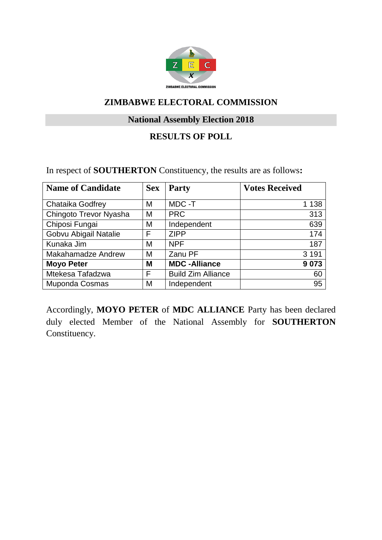

# **National Assembly Election 2018**

# **RESULTS OF POLL**

#### In respect of **SOUTHERTON** Constituency, the results are as follows**:**

| <b>Name of Candidate</b>  | <b>Sex</b> | <b>Party</b>              | <b>Votes Received</b> |
|---------------------------|------------|---------------------------|-----------------------|
|                           |            |                           |                       |
| Chataika Godfrey          | M          | MDC -T                    | 1 1 3 8               |
| Chingoto Trevor Nyasha    | M          | <b>PRC</b>                | 313                   |
| Chiposi Fungai            | М          | Independent               | 639                   |
| Gobvu Abigail Natalie     | F          | <b>ZIPP</b>               | 174                   |
| Kunaka Jim                | M          | <b>NPF</b>                | 187                   |
| <b>Makahamadze Andrew</b> | M          | Zanu PF                   | 3 1 9 1               |
| <b>Moyo Peter</b>         | M          | <b>MDC-Alliance</b>       | 9073                  |
| Mtekesa Tafadzwa          | F          | <b>Build Zim Alliance</b> | 60                    |
| Muponda Cosmas            | M          | Independent               | 95                    |

Accordingly, **MOYO PETER** of **MDC ALLIANCE** Party has been declared duly elected Member of the National Assembly for **SOUTHERTON** Constituency.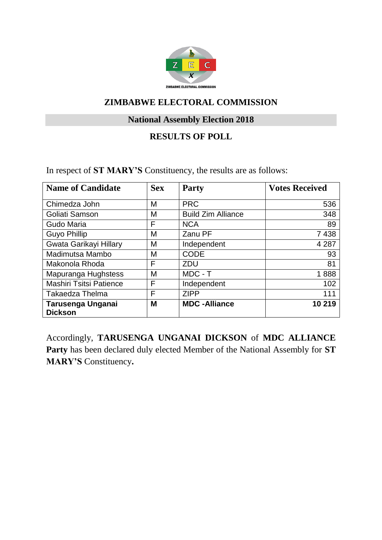

# **National Assembly Election 2018**

### **RESULTS OF POLL**

In respect of **ST MARY'S** Constituency, the results are as follows:

| <b>Name of Candidate</b>            | <b>Sex</b> | <b>Party</b>              | <b>Votes Received</b> |
|-------------------------------------|------------|---------------------------|-----------------------|
| Chimedza John                       | M          | <b>PRC</b>                | 536                   |
| Goliati Samson                      | M          | <b>Build Zim Alliance</b> | 348                   |
| Gudo Maria                          | F          | <b>NCA</b>                | 89                    |
| <b>Guyo Phillip</b>                 | M          | Zanu PF                   | 7 4 3 8               |
| Gwata Garikayi Hillary              | M          | Independent               | 4 2 8 7               |
| Madimutsa Mambo                     | M          | <b>CODE</b>               | 93                    |
| Makonola Rhoda                      | F          | ZDU                       | 81                    |
| Mapuranga Hughstess                 | M          | MDC - T                   | 1888                  |
| <b>Mashiri Tsitsi Patience</b>      | F          | Independent               | 102                   |
| <b>Takaedza Thelma</b>              | F          | <b>ZIPP</b>               | 111                   |
| Tarusenga Unganai<br><b>Dickson</b> | M          | <b>MDC</b> - Alliance     | 10 219                |

Accordingly, **TARUSENGA UNGANAI DICKSON** of **MDC ALLIANCE Party** has been declared duly elected Member of the National Assembly for **ST MARY'S** Constituency**.**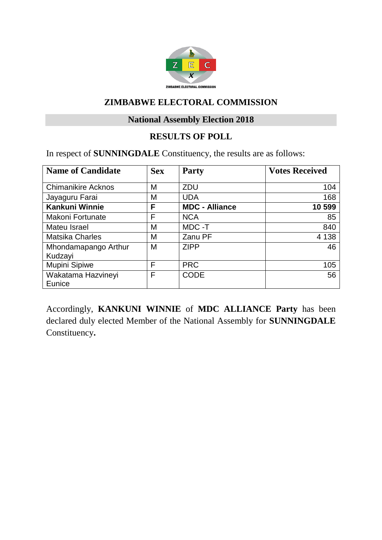

# **National Assembly Election 2018**

# **RESULTS OF POLL**

In respect of **SUNNINGDALE** Constituency, the results are as follows:

| <b>Name of Candidate</b>        | <b>Sex</b> | <b>Party</b>          | <b>Votes Received</b> |
|---------------------------------|------------|-----------------------|-----------------------|
| <b>Chimanikire Acknos</b>       | M          | <b>ZDU</b>            | 104                   |
| Jayaguru Farai                  | M          | <b>UDA</b>            | 168                   |
| <b>Kankuni Winnie</b>           | F          | <b>MDC - Alliance</b> | 10 599                |
| <b>Makoni Fortunate</b>         | F          | <b>NCA</b>            | 85                    |
| Mateu Israel                    | M          | MDC-T                 | 840                   |
| <b>Matsika Charles</b>          | M          | Zanu PF               | 4 1 3 8               |
| Mhondamapango Arthur<br>Kudzayi | M          | <b>ZIPP</b>           | 46                    |
| Mupini Sipiwe                   | F          | <b>PRC</b>            | 105                   |
| Wakatama Hazvineyi<br>Eunice    | F          | <b>CODE</b>           | 56                    |

Accordingly, **KANKUNI WINNIE** of **MDC ALLIANCE Party** has been declared duly elected Member of the National Assembly for **SUNNINGDALE** Constituency**.**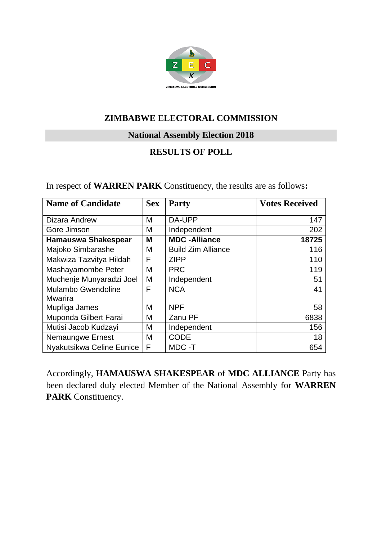

**National Assembly Election 2018**

# **RESULTS OF POLL**

| In respect of <b>WARREN PARK</b> Constituency, the results are as follows: |  |  |
|----------------------------------------------------------------------------|--|--|
|----------------------------------------------------------------------------|--|--|

| <b>Name of Candidate</b>   | <b>Sex</b> | <b>Party</b>              | <b>Votes Received</b> |
|----------------------------|------------|---------------------------|-----------------------|
| <b>Dizara Andrew</b>       | M          | DA-UPP                    | 147                   |
| Gore Jimson                | M          | Independent               | 202                   |
| <b>Hamauswa Shakespear</b> | M          | <b>MDC-Alliance</b>       | 18725                 |
| Majoko Simbarashe          | M          | <b>Build Zim Alliance</b> | 116                   |
| Makwiza Tazvitya Hildah    | F          | <b>ZIPP</b>               | 110                   |
| Mashayamombe Peter         | M          | <b>PRC</b>                | 119                   |
| Muchenje Munyaradzi Joel   | M          | Independent               | 51                    |
| <b>Mulambo Gwendoline</b>  | F          | <b>NCA</b>                | 41                    |
| <b>Mwarira</b>             |            |                           |                       |
| Mupfiga James              | M          | <b>NPF</b>                | 58                    |
| Muponda Gilbert Farai      | M          | Zanu PF                   | 6838                  |
| Mutisi Jacob Kudzayi       | M          | Independent               | 156                   |
| <b>Nemaungwe Ernest</b>    | M          | <b>CODE</b>               | 18                    |
| Nyakutsikwa Celine Eunice  | F          | MDC-T                     | 654                   |

Accordingly, **HAMAUSWA SHAKESPEAR** of **MDC ALLIANCE** Party has been declared duly elected Member of the National Assembly for **WARREN**  PARK Constituency.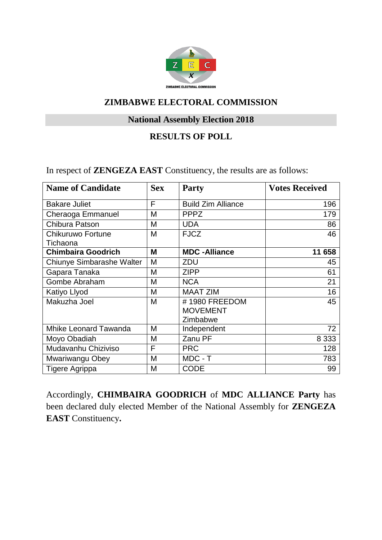

# **National Assembly Election 2018**

### **RESULTS OF POLL**

In respect of **ZENGEZA EAST** Constituency, the results are as follows:

| <b>Name of Candidate</b>     | <b>Sex</b> | <b>Party</b>                                 | <b>Votes Received</b> |
|------------------------------|------------|----------------------------------------------|-----------------------|
| <b>Bakare Juliet</b>         | F          | <b>Build Zim Alliance</b>                    | 196                   |
| Cheraoga Emmanuel            | М          | <b>PPPZ</b>                                  | 179                   |
| Chibura Patson               | M          | <b>UDA</b>                                   | 86                    |
| <b>Chikuruwo Fortune</b>     | M          | <b>FJCZ</b>                                  | 46                    |
| Tichaona                     |            |                                              |                       |
| <b>Chimbaira Goodrich</b>    | M          | <b>MDC-Alliance</b>                          | 11 658                |
| Chiunye Simbarashe Walter    | M          | ZDU                                          | 45                    |
| Gapara Tanaka                | M          | <b>ZIPP</b>                                  | 61                    |
| Gombe Abraham                | M          | <b>NCA</b>                                   | 21                    |
| Katiyo Llyod                 | M          | <b>MAAT ZIM</b>                              | 16                    |
| Makuzha Joel                 | M          | #1980 FREEDOM<br><b>MOVEMENT</b><br>Zimbabwe | 45                    |
| <b>Mhike Leonard Tawanda</b> | M          | Independent                                  | 72                    |
| Moyo Obadiah                 | M          | Zanu PF                                      | 8 3 3 3               |
| Mudavanhu Chiziviso          | F          | <b>PRC</b>                                   | 128                   |
| Mwariwangu Obey              | M          | MDC - T                                      | 783                   |
| Tigere Agrippa               | M          | <b>CODE</b>                                  | 99                    |

Accordingly, **CHIMBAIRA GOODRICH** of **MDC ALLIANCE Party** has been declared duly elected Member of the National Assembly for **ZENGEZA EAST** Constituency**.**